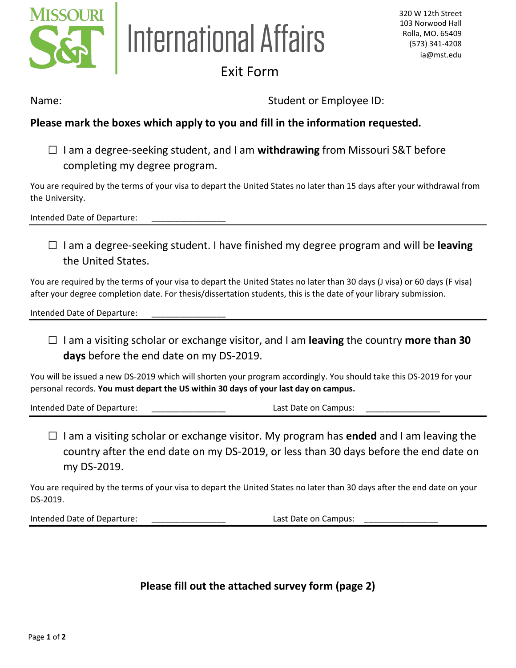

## International Affairs

## Exit Form

Name: Name: Student or Employee ID:

## **Please mark the boxes which apply to you and fill in the information requested.**

□ I am a degree-seeking student, and I am **withdrawing** from Missouri S&T before completing my degree program.

You are required by the terms of your visa to depart the United States no later than 15 days after your withdrawal from the University.

Intended Date of Departure:

□ I am a degree-seeking student. I have finished my degree program and will be **leaving** the United States.

You are required by the terms of your visa to depart the United States no later than 30 days (J visa) or 60 days (F visa) after your degree completion date. For thesis/dissertation students, this is the date of your library submission.

Intended Date of Departure:

□ I am a visiting scholar or exchange visitor, and I am **leaving** the country **more than 30 days** before the end date on my DS-2019.

You will be issued a new DS-2019 which will shorten your program accordingly. You should take this DS-2019 for your personal records. **You must depart the US within 30 days of your last day on campus.**

Intended Date of Departure: example and the set of Last Date on Campus:

□ I am a visiting scholar or exchange visitor. My program has **ended** and I am leaving the country after the end date on my DS-2019, or less than 30 days before the end date on my DS-2019.

You are required by the terms of your visa to depart the United States no later than 30 days after the end date on your DS-2019.

Intended Date of Departure: example and the set of Campus: Last Date on Campus:

**Please fill out the attached survey form (page 2)**